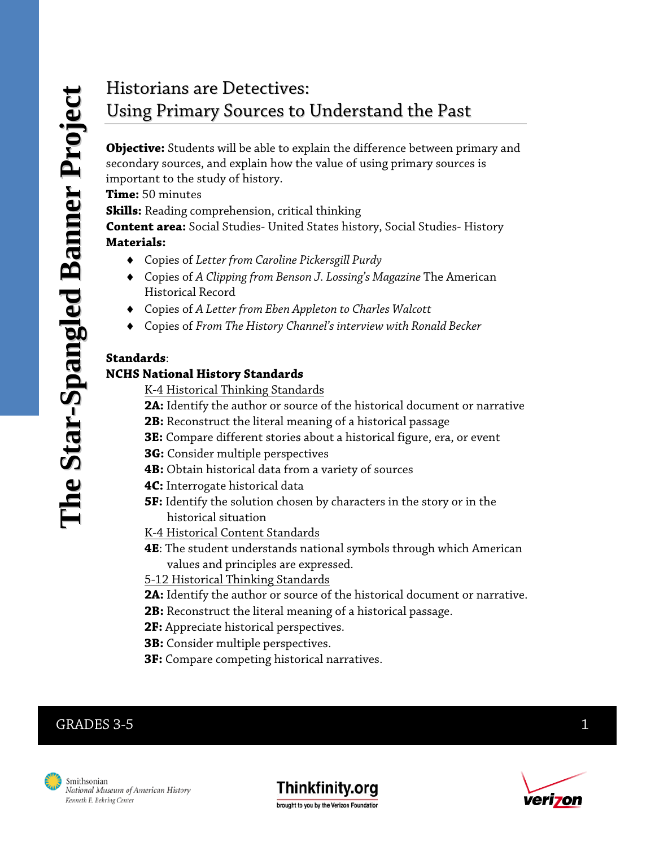# Historians are Detectives: Using Primary Sources to Understand the Past

**Objective:** Students will be able to explain the difference between primary and secondary sources, and explain how the value of using primary sources is important to the study of history.

**Time:** 50 minutes

**Skills:** Reading comprehension, critical thinking

**Content area:** Social Studies- United States history, Social Studies- History **Materials:** 

- ♦ Copies of *Letter from Caroline Pickersgill Purdy*
- ♦ Copies of *A Clipping from Benson J. Lossing's Magazine* The American Historical Record
- ♦ Copies of *A Letter from Eben Appleton to Charles Walcott*
- ♦ Copies of *From The History Channel's interview with Ronald Becker*

#### **Standards**:

#### **NCHS National History Standards**

K-4 Historical Thinking Standards

- **2A:** Identify the author or source of the historical document or narrative
- **2B:** Reconstruct the literal meaning of a historical passage
- **3E:** Compare different stories about a historical figure, era, or event
- **3G:** Consider multiple perspectives
- **4B:** Obtain historical data from a variety of sources
- **4C:** Interrogate historical data
- **5F:** Identify the solution chosen by characters in the story or in the historical situation
- K-4 Historical Content Standards
- **4E**: The student understands national symbols through which American values and principles are expressed.
- 5-12 Historical Thinking Standards
- **2A:** Identify the author or source of the historical document or narrative.
- **2B:** Reconstruct the literal meaning of a historical passage.
- **2F:** Appreciate historical perspectives.
- **3B:** Consider multiple perspectives.
- **3F:** Compare competing historical narratives.

## $GRADES 3-5$  1





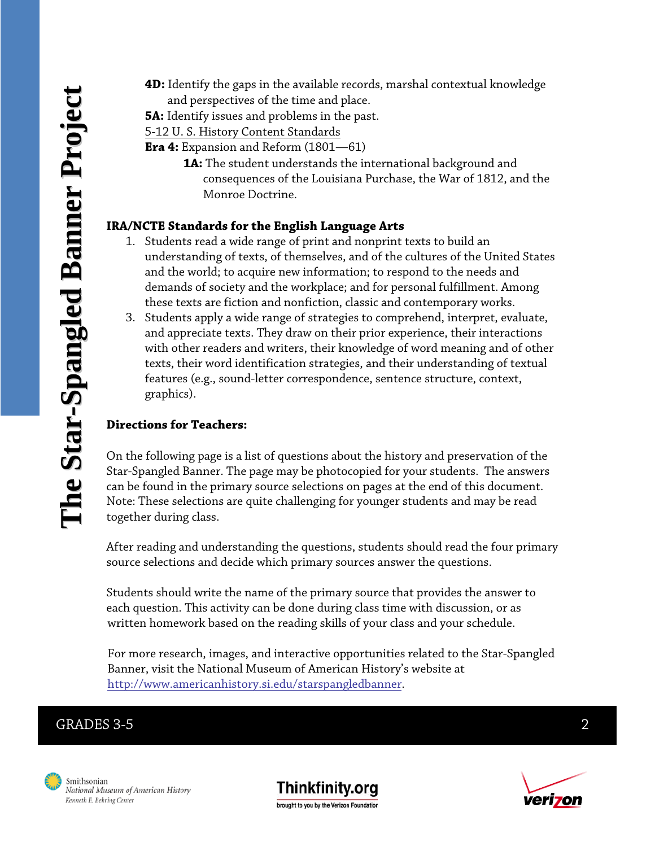**4D:** Identify the gaps in the available records, marshal contextual knowledge and perspectives of the time and place.

**5A:** Identify issues and problems in the past.

5-12 U. S. History Content Standards

- **Era 4:** Expansion and Reform (1801—61)
	- **1A:** The student understands the international background and consequences of the Louisiana Purchase, the War of 1812, and the Monroe Doctrine.

#### **IRA/NCTE Standards for the English Language Arts**

- 1. Students read a wide range of print and nonprint texts to build an understanding of texts, of themselves, and of the cultures of the United States and the world; to acquire new information; to respond to the needs and demands of society and the workplace; and for personal fulfillment. Among these texts are fiction and nonfiction, classic and contemporary works.
- 3. Students apply a wide range of strategies to comprehend, interpret, evaluate, and appreciate texts. They draw on their prior experience, their interactions with other readers and writers, their knowledge of word meaning and of other texts, their word identification strategies, and their understanding of textual features (e.g., sound-letter correspondence, sentence structure, context, graphics).

#### **Directions for Teachers:**

On the following page is a list of questions about the history and preservation of the Star-Spangled Banner. The page may be photocopied for your students. The answers can be found in the primary source selections on pages at the end of this document. Note: These selections are quite challenging for younger students and may be read together during class.

After reading and understanding the questions, students should read the four primary source selections and decide which primary sources answer the questions.

Students should write the name of the primary source that provides the answer to each question. This activity can be done during class time with discussion, or as written homework based on the reading skills of your class and your schedule.

 For more research, images, and interactive opportunities related to the Star-Spangled Banner, visit the National Museum of American History's website at [http://www.americanhistory.si.edu/starspangledbanner.](http://www.americanhistory.si.edu/starspangledbanner)

#### GRADES 3-5 2





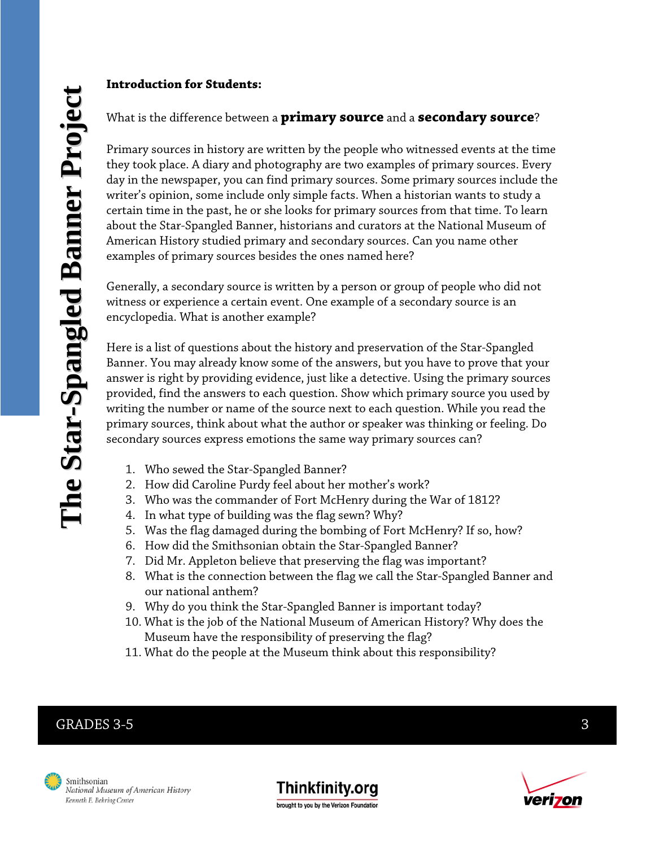#### **Introduction for Students:**

#### What is the difference between a **primary source** and a **secondary source**?

Primary sources in history are written by the people who witnessed events at the time they took place. A diary and photography are two examples of primary sources. Every day in the newspaper, you can find primary sources. Some primary sources include the writer's opinion, some include only simple facts. When a historian wants to study a certain time in the past, he or she looks for primary sources from that time. To learn about the Star-Spangled Banner, historians and curators at the National Museum of American History studied primary and secondary sources. Can you name other examples of primary sources besides the ones named here?

Generally, a secondary source is written by a person or group of people who did not witness or experience a certain event. One example of a secondary source is an encyclopedia. What is another example?

Here is a list of questions about the history and preservation of the Star-Spangled Banner. You may already know some of the answers, but you have to prove that your answer is right by providing evidence, just like a detective. Using the primary sources provided, find the answers to each question. Show which primary source you used by writing the number or name of the source next to each question. While you read the primary sources, think about what the author or speaker was thinking or feeling. Do secondary sources express emotions the same way primary sources can?

- 1. Who sewed the Star-Spangled Banner?
- 2. How did Caroline Purdy feel about her mother's work?
- 3. Who was the commander of Fort McHenry during the War of 1812?
- 4. In what type of building was the flag sewn? Why?
- 5. Was the flag damaged during the bombing of Fort McHenry? If so, how?
- 6. How did the Smithsonian obtain the Star-Spangled Banner?
- 7. Did Mr. Appleton believe that preserving the flag was important?
- 8. What is the connection between the flag we call the Star-Spangled Banner and our national anthem?
- 9. Why do you think the Star-Spangled Banner is important today?
- 10. What is the job of the National Museum of American History? Why does the Museum have the responsibility of preserving the flag?
- 11. What do the people at the Museum think about this responsibility?

## GRADES  $3-5$  3





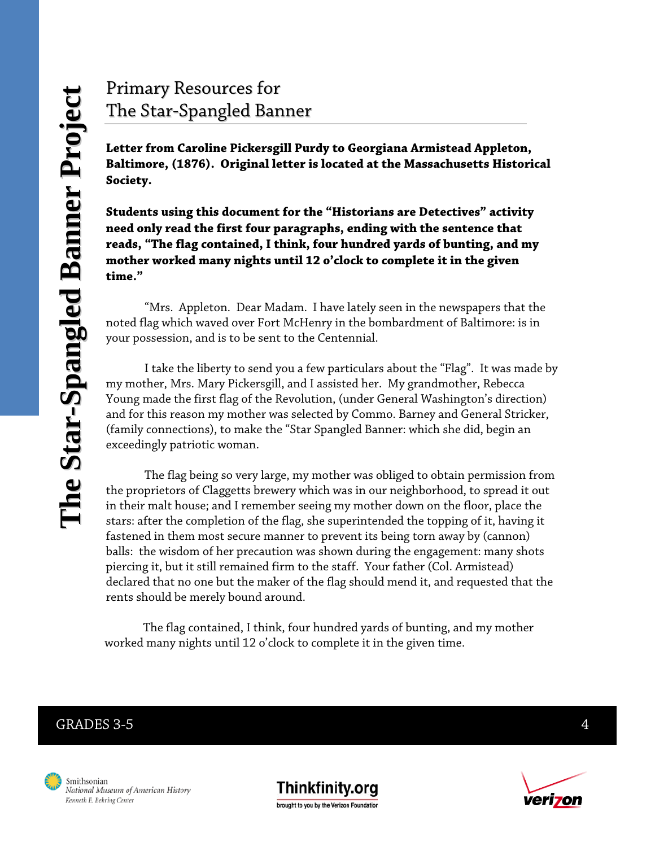# Primary Resources for The Star-Spangled Banner

**Letter from Caroline Pickersgill Purdy to Georgiana Armistead Appleton, Baltimore, (1876). Original letter is located at the Massachusetts Historical Society.** 

**Students using this document for the "Historians are Detectives" activity need only read the first four paragraphs, ending with the sentence that reads, "The flag contained, I think, four hundred yards of bunting, and my mother worked many nights until 12 o'clock to complete it in the given time."** 

 "Mrs. Appleton. Dear Madam. I have lately seen in the newspapers that the noted flag which waved over Fort McHenry in the bombardment of Baltimore: is in your possession, and is to be sent to the Centennial.

 I take the liberty to send you a few particulars about the "Flag". It was made by my mother, Mrs. Mary Pickersgill, and I assisted her. My grandmother, Rebecca Young made the first flag of the Revolution, (under General Washington's direction) and for this reason my mother was selected by Commo. Barney and General Stricker, (family connections), to make the "Star Spangled Banner: which she did, begin an exceedingly patriotic woman.

 The flag being so very large, my mother was obliged to obtain permission from the proprietors of Claggetts brewery which was in our neighborhood, to spread it out in their malt house; and I remember seeing my mother down on the floor, place the stars: after the completion of the flag, she superintended the topping of it, having it fastened in them most secure manner to prevent its being torn away by (cannon) balls: the wisdom of her precaution was shown during the engagement: many shots piercing it, but it still remained firm to the staff. Your father (Col. Armistead) declared that no one but the maker of the flag should mend it, and requested that the rents should be merely bound around.

 The flag contained, I think, four hundred yards of bunting, and my mother worked many nights until 12 o'clock to complete it in the given time.

#### GRADES 3-5  $\qquad \qquad \qquad 4$





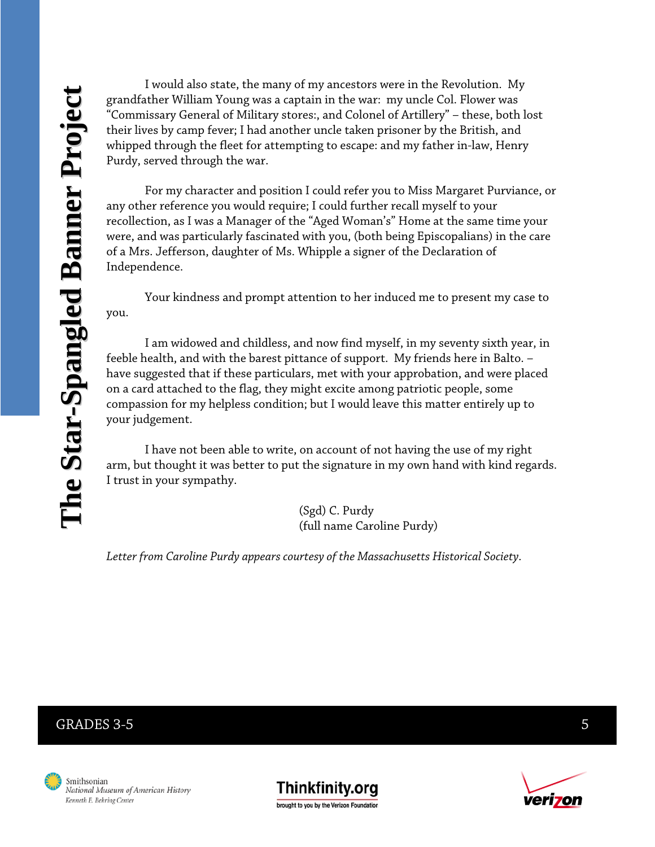I would also state, the many of my ancestors were in the Revolution. My grandfather William Young was a captain in the war: my uncle Col. Flower was "Commissary General of Military stores:, and Colonel of Artillery" – these, both lost their lives by camp fever; I had another uncle taken prisoner by the British, and whipped through the fleet for attempting to escape: and my father in-law, Henry Purdy, served through the war.

 For my character and position I could refer you to Miss Margaret Purviance, or any other reference you would require; I could further recall myself to your recollection, as I was a Manager of the "Aged Woman's" Home at the same time your were, and was particularly fascinated with you, (both being Episcopalians) in the care of a Mrs. Jefferson, daughter of Ms. Whipple a signer of the Declaration of Independence.

 Your kindness and prompt attention to her induced me to present my case to you.

 I am widowed and childless, and now find myself, in my seventy sixth year, in feeble health, and with the barest pittance of support. My friends here in Balto. – have suggested that if these particulars, met with your approbation, and were placed on a card attached to the flag, they might excite among patriotic people, some compassion for my helpless condition; but I would leave this matter entirely up to your judgement.

 I have not been able to write, on account of not having the use of my right arm, but thought it was better to put the signature in my own hand with kind regards. I trust in your sympathy.

> (Sgd) C. Purdy (full name Caroline Purdy)

*Letter from Caroline Purdy appears courtesy of the Massachusetts Historical Society.* 

#### GRADES  $3-5$  5





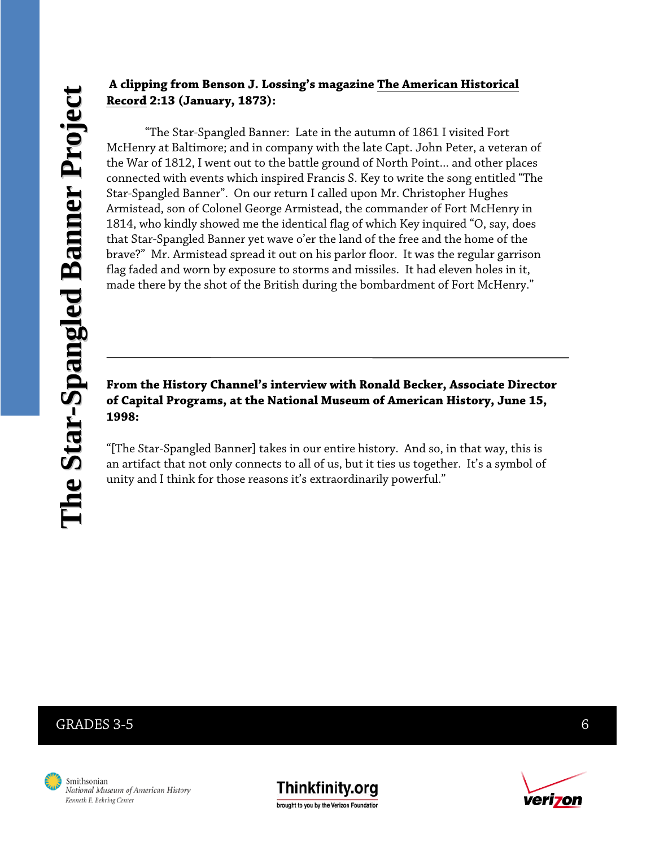#### **A clipping from Benson J. Lossing's magazine The American Historical Record 2:13 (January, 1873):**

 "The Star-Spangled Banner: Late in the autumn of 1861 I visited Fort McHenry at Baltimore; and in company with the late Capt. John Peter, a veteran of the War of 1812, I went out to the battle ground of North Point... and other places connected with events which inspired Francis S. Key to write the song entitled "The Star-Spangled Banner". On our return I called upon Mr. Christopher Hughes Armistead, son of Colonel George Armistead, the commander of Fort McHenry in 1814, who kindly showed me the identical flag of which Key inquired "O, say, does that Star-Spangled Banner yet wave o'er the land of the free and the home of the brave?" Mr. Armistead spread it out on his parlor floor. It was the regular garrison flag faded and worn by exposure to storms and missiles. It had eleven holes in it, made there by the shot of the British during the bombardment of Fort McHenry."

#### **From the History Channel's interview with Ronald Becker, Associate Director of Capital Programs, at the National Museum of American History, June 15, 1998:**

"[The Star-Spangled Banner] takes in our entire history. And so, in that way, this is an artifact that not only connects to all of us, but it ties us together. It's a symbol of unity and I think for those reasons it's extraordinarily powerful."

#### GRADES 3-5 6





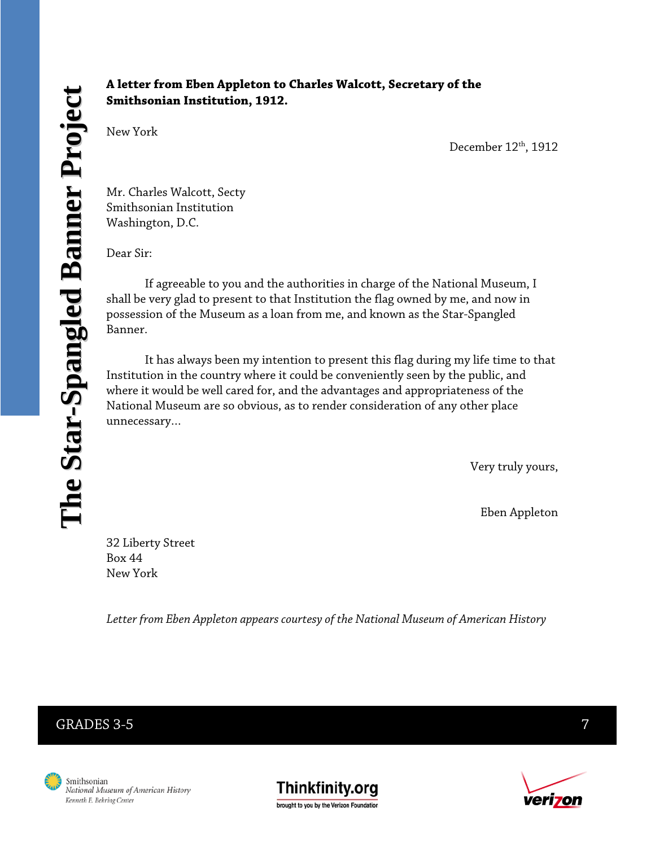#### **A letter from Eben Appleton to Charles Walcott, Secretary of the Smithsonian Institution, 1912.**

New York

December 12th, 1912

Mr. Charles Walcott, Secty Smithsonian Institution Washington, D.C.

Dear Sir:

 If agreeable to you and the authorities in charge of the National Museum, I shall be very glad to present to that Institution the flag owned by me, and now in possession of the Museum as a loan from me, and known as the Star-Spangled Banner.

 It has always been my intention to present this flag during my life time to that Institution in the country where it could be conveniently seen by the public, and where it would be well cared for, and the advantages and appropriateness of the National Museum are so obvious, as to render consideration of any other place unnecessary…

Very truly yours,

Eben Appleton

32 Liberty Street Box 44 New York

 *Letter from Eben Appleton appears courtesy of the National Museum of American History* 

## GRADES 3-5 7